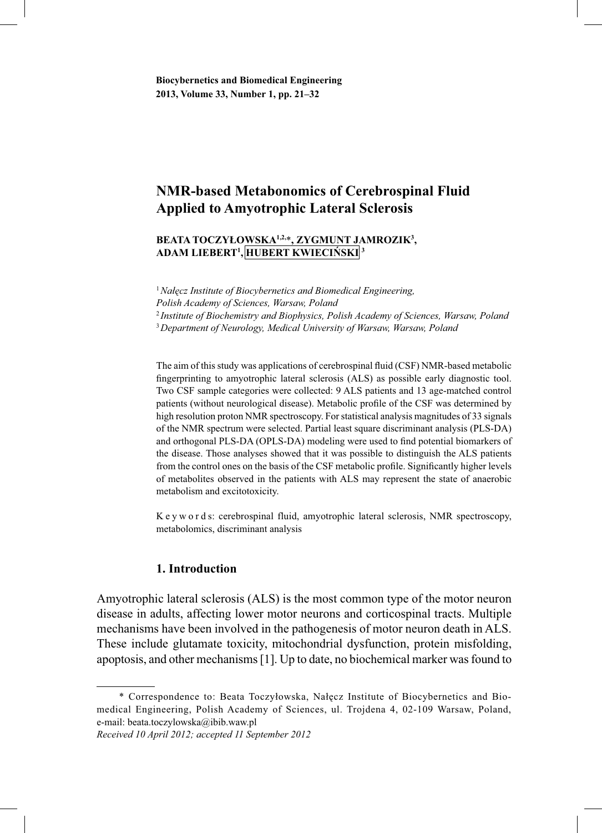# **NMR-based Metabonomics of Cerebrospinal Fluid Applied to Amyotrophic Lateral Sclerosis**

# **BEATA TOCZYŁOWSKA1,2,**\***, ZYGMUNT JAMROZIK3 , ADAM LIEBERT1 , HUBERT KWIECIŃSKI 3**

1  *Nałęcz Institute of Biocybernetics and Biomedical Engineering, Polish Academy of Sciences, Warsaw, Poland* 2  *Institute of Biochemistry and Biophysics, Polish Academy of Sciences, Warsaw, Poland* 

3  *Department of Neurology, Medical University of Warsaw, Warsaw, Poland*

The aim of this study was applications of cerebrospinal fluid (CSF) NMR-based metabolic fingerprinting to amyotrophic lateral sclerosis (ALS) as possible early diagnostic tool. Two CSF sample categories were collected: 9 ALS patients and 13 age-matched control patients (without neurological disease). Metabolic profile of the CSF was determined by high resolution proton NMR spectroscopy. For statistical analysis magnitudes of 33 signals of the NMR spectrum were selected. Partial least square discriminant analysis (PLS-DA) and orthogonal PLS-DA (OPLS-DA) modeling were used to find potential biomarkers of the disease. Those analyses showed that it was possible to distinguish the ALS patients from the control ones on the basis of the CSF metabolic profile. Significantly higher levels of metabolites observed in the patients with ALS may represent the state of anaerobic metabolism and excitotoxicity.

K e y w o r d s: cerebrospinal fluid, amyotrophic lateral sclerosis, NMR spectroscopy, metabolomics, discriminant analysis

## **1. Introduction**

Amyotrophic lateral sclerosis (ALS) is the most common type of the motor neuron disease in adults, affecting lower motor neurons and corticospinal tracts. Multiple mechanisms have been involved in the pathogenesis of motor neuron death in ALS. These include glutamate toxicity, mitochondrial dysfunction, protein misfolding, apoptosis, and other mechanisms [1]. Up to date, no biochemical marker was found to

 <sup>\*</sup> Correspondence to: Beata Toczyłowska, Nałęcz Institute of Biocybernetics and Biomedical Engineering, Polish Academy of Sciences, ul. Trojdena 4, 02-109 Warsaw, Poland, e-mail: beata.toczylowska@ibib.waw.pl

*Received 10 April 2012; accepted 11 September 2012*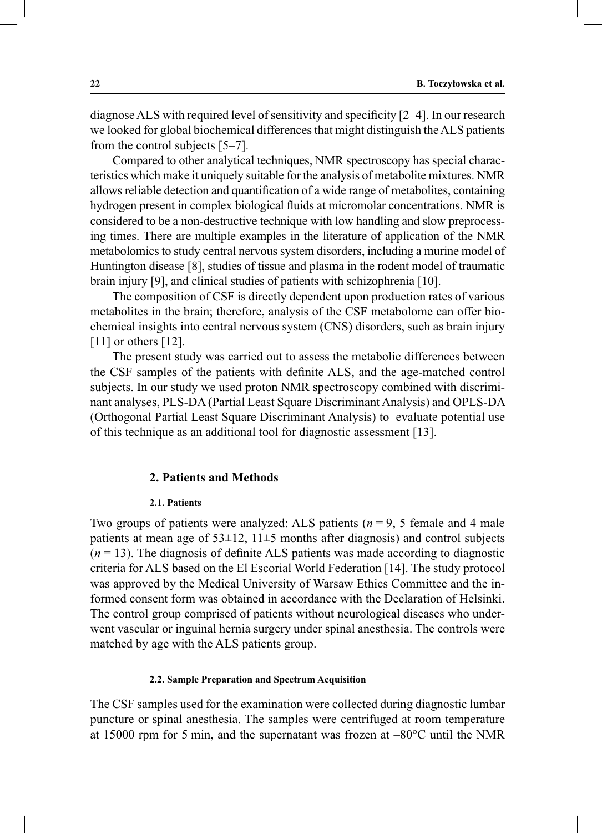diagnose ALS with required level of sensitivity and specificity [2–4]. In our research we looked for global biochemical differences that might distinguish the ALS patients from the control subjects [5–7].

 Compared to other analytical techniques, NMR spectroscopy has special characteristics which make it uniquely suitable for the analysis of metabolite mixtures. NMR allows reliable detection and quantification of a wide range of metabolites, containing hydrogen present in complex biological fluids at micromolar concentrations. NMR is considered to be a non-destructive technique with low handling and slow preprocessing times. There are multiple examples in the literature of application of the NMR metabolomics to study central nervous system disorders, including a murine model of Huntington disease [8], studies of tissue and plasma in the rodent model of traumatic brain injury [9], and clinical studies of patients with schizophrenia [10].

 The composition of CSF is directly dependent upon production rates of various metabolites in the brain; therefore, analysis of the CSF metabolome can offer biochemical insights into central nervous system (CNS) disorders, such as brain injury [11] or others [12].

 The present study was carried out to assess the metabolic differences between the CSF samples of the patients with definite ALS, and the age-matched control subjects. In our study we used proton NMR spectroscopy combined with discriminant analyses, PLS-DA (Partial Least Square Discriminant Analysis) and OPLS-DA (Orthogonal Partial Least Square Discriminant Analysis) to evaluate potential use of this technique as an additional tool for diagnostic assessment [13].

## **2. Patients and Methods**

#### **2.1. Patients**

Two groups of patients were analyzed: ALS patients  $(n = 9, 5$  female and 4 male patients at mean age of  $53\pm 12$ ,  $11\pm 5$  months after diagnosis) and control subjects  $(n = 13)$ . The diagnosis of definite ALS patients was made according to diagnostic criteria for ALS based on the El Escorial World Federation [14]. The study protocol was approved by the Medical University of Warsaw Ethics Committee and the informed consent form was obtained in accordance with the Declaration of Helsinki. The control group comprised of patients without neurological diseases who underwent vascular or inguinal hernia surgery under spinal anesthesia. The controls were matched by age with the ALS patients group.

#### **2.2. Sample Preparation and Spectrum Acquisition**

The CSF samples used for the examination were collected during diagnostic lumbar puncture or spinal anesthesia. The samples were centrifuged at room temperature at 15000 rpm for 5 min, and the supernatant was frozen at  $-80^{\circ}$ C until the NMR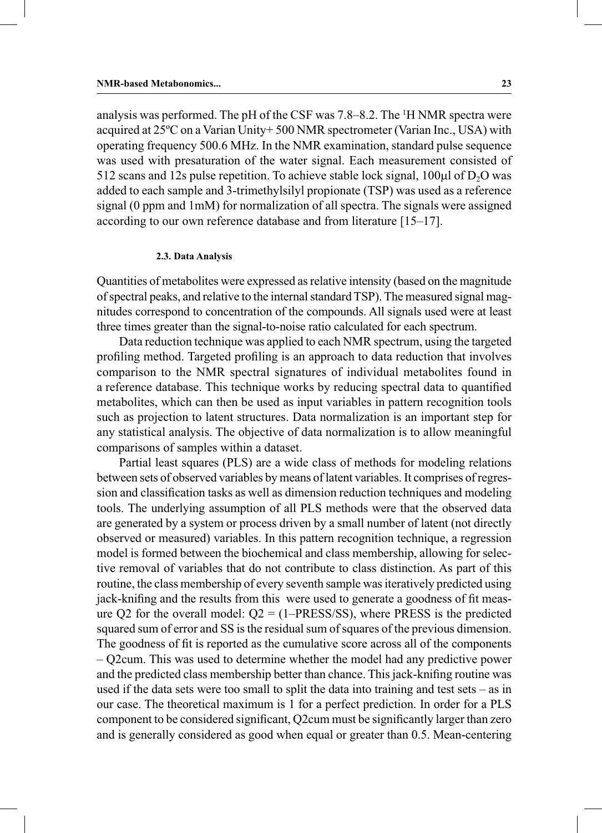analysis was performed. The pH of the CSF was 7.8–8.2. The <sup>1</sup>H NMR spectra were acquired at 25ºC on a Varian Unity+ 500 NMR spectrometer (Varian Inc., USA) with operating frequency 500.6 MHz. In the NMR examination, standard pulse sequence was used with presaturation of the water signal. Each measurement consisted of 512 scans and 12s pulse repetition. To achieve stable lock signal,  $100\mu$ l of D<sub>2</sub>O was added to each sample and 3-trimethylsilyl propionate (TSP) was used as a reference signal (0 ppm and 1mM) for normalization of all spectra. The signals were assigned according to our own reference database and from literature [15–17].

#### **2.3. Data Analysis**

Quantities of metabolites were expressed as relative intensity (based on the magnitude of spectral peaks, and relative to the internal standard TSP). The measured signal magnitudes correspond to concentration of the compounds. All signals used were at least three times greater than the signal-to-noise ratio calculated for each spectrum.

 Data reduction technique was applied to each NMR spectrum, using the targeted profiling method. Targeted profiling is an approach to data reduction that involves comparison to the NMR spectral signatures of individual metabolites found in a reference database. This technique works by reducing spectral data to quantified metabolites, which can then be used as input variables in pattern recognition tools such as projection to latent structures. Data normalization is an important step for any statistical analysis. The objective of data normalization is to allow meaningful comparisons of samples within a dataset.

 Partial least squares (PLS) are a wide class of methods for modeling relations between sets of observed variables by means of latent variables. It comprises of regression and classification tasks as well as dimension reduction techniques and modeling tools. The underlying assumption of all PLS methods were that the observed data are generated by a system or process driven by a small number of latent (not directly observed or measured) variables. In this pattern recognition technique, a regression model is formed between the biochemical and class membership, allowing for selective removal of variables that do not contribute to class distinction. As part of this routine, the class membership of every seventh sample was iteratively predicted using jack-knifing and the results from this were used to generate a goodness of fit measure Q2 for the overall model:  $Q2 = (1-PRESS/SS)$ , where PRESS is the predicted squared sum of error and SS is the residual sum of squares of the previous dimension. The goodness of fit is reported as the cumulative score across all of the components – Q2cum. This was used to determine whether the model had any predictive power and the predicted class membership better than chance. This jack-knifing routine was used if the data sets were too small to split the data into training and test sets – as in our case. The theoretical maximum is 1 for a perfect prediction. In order for a PLS component to be considered significant, Q2cum must be significantly larger than zero and is generally considered as good when equal or greater than 0.5. Mean-centering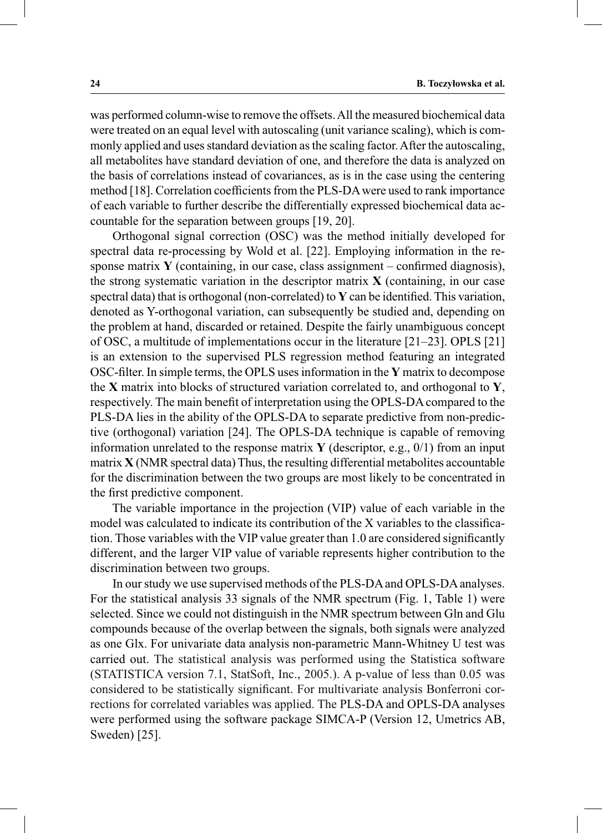was performed column-wise to remove the offsets. All the measured biochemical data were treated on an equal level with autoscaling (unit variance scaling), which is commonly applied and uses standard deviation as the scaling factor. After the autoscaling, all metabolites have standard deviation of one, and therefore the data is analyzed on the basis of correlations instead of covariances, as is in the case using the centering method [18]. Correlation coefficients from the PLS-DA were used to rank importance of each variable to further describe the differentially expressed biochemical data accountable for the separation between groups [19, 20].

 Orthogonal signal correction (OSC) was the method initially developed for spectral data re-processing by Wold et al. [22]. Employing information in the response matrix **Y** (containing, in our case, class assignment – confirmed diagnosis), the strong systematic variation in the descriptor matrix  $\bf{X}$  (containing, in our case spectral data) that is orthogonal (non-correlated) to **Y** can be identified. This variation, denoted as Y-orthogonal variation, can subsequently be studied and, depending on the problem at hand, discarded or retained. Despite the fairly unambiguous concept of OSC, a multitude of implementations occur in the literature [21–23]. OPLS [21] is an extension to the supervised PLS regression method featuring an integrated OSC-filter. In simple terms, the OPLS uses information in the **Y** matrix to decompose the **X** matrix into blocks of structured variation correlated to, and orthogonal to **Y**, respectively. The main benefit of interpretation using the OPLS-DA compared to the PLS-DA lies in the ability of the OPLS-DA to separate predictive from non-predictive (orthogonal) variation [24]. The OPLS-DA technique is capable of removing information unrelated to the response matrix **Y** (descriptor, e.g., 0/1) from an input matrix **X** (NMR spectral data) Thus, the resulting differential metabolites accountable for the discrimination between the two groups are most likely to be concentrated in the first predictive component.

 The variable importance in the projection (VIP) value of each variable in the model was calculated to indicate its contribution of the X variables to the classification. Those variables with the VIP value greater than 1.0 are considered significantly different, and the larger VIP value of variable represents higher contribution to the discrimination between two groups.

 In our study we use supervised methods of the PLS-DA and OPLS-DA analyses. For the statistical analysis 33 signals of the NMR spectrum (Fig. 1, Table 1) were selected. Since we could not distinguish in the NMR spectrum between Gln and Glu compounds because of the overlap between the signals, both signals were analyzed as one Glx. For univariate data analysis non-parametric Mann-Whitney U test was carried out. The statistical analysis was performed using the Statistica software (STATISTICA version 7.1, StatSoft, Inc., 2005.). A p-value of less than 0.05 was considered to be statistically significant. For multivariate analysis Bonferroni corrections for correlated variables was applied. The PLS-DA and OPLS-DA analyses were performed using the software package SIMCA-P (Version 12, Umetrics AB, Sweden) [25].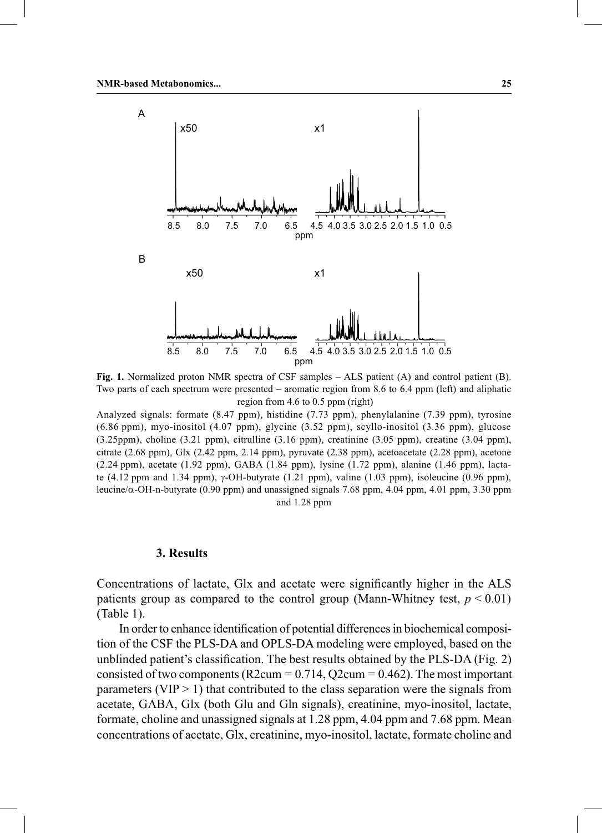

**Fig. 1.** Normalized proton NMR spectra of CSF samples – ALS patient (A) and control patient (B). Two parts of each spectrum were presented – aromatic region from 8.6 to 6.4 ppm (left) and aliphatic region from 4.6 to 0.5 ppm (right)

Analyzed signals: formate (8.47 ppm), histidine (7.73 ppm), phenylalanine (7.39 ppm), tyrosine  $(6.86$  ppm), myo-inositol  $(4.07$  ppm), glycine  $(3.52$  ppm), scyllo-inositol  $(3.36$  ppm), glucose (3.25ppm), choline (3.21 ppm), citrulline (3.16 ppm), creatinine (3.05 ppm), creatine (3.04 ppm), citrate (2.68 ppm), Glx (2.42 ppm, 2.14 ppm), pyruvate (2.38 ppm), acetoacetate (2.28 ppm), acetone (2.24 ppm), acetate (1.92 ppm), GABA (1.84 ppm), lysine (1.72 ppm), alanine (1.46 ppm), lactate  $(4.12 \text{ ppm}$  and  $1.34 \text{ ppm}$ ),  $\gamma$ -OH-butyrate  $(1.21 \text{ ppm})$ , valine  $(1.03 \text{ ppm})$ , isoleucine  $(0.96 \text{ ppm})$ , leucine/α-OH-n-butyrate (0.90 ppm) and unassigned signals 7.68 ppm, 4.04 ppm, 4.01 ppm, 3.30 ppm and 1.28 ppm

# **3. Results**

Concentrations of lactate, Glx and acetate were significantly higher in the ALS patients group as compared to the control group (Mann-Whitney test,  $p < 0.01$ ) (Table 1).

 In order to enhance identification of potential differences in biochemical composition of the CSF the PLS-DA and OPLS-DA modeling were employed, based on the unblinded patient's classification. The best results obtained by the PLS-DA (Fig. 2) consisted of two components (R2cum =  $0.714$ , O2cum =  $0.462$ ). The most important parameters (VIP  $>$  1) that contributed to the class separation were the signals from acetate, GABA, Glx (both Glu and Gln signals), creatinine, myo-inositol, lactate, formate, choline and unassigned signals at 1.28 ppm, 4.04 ppm and 7.68 ppm. Mean concentrations of acetate, Glx, creatinine, myo-inositol, lactate, formate choline and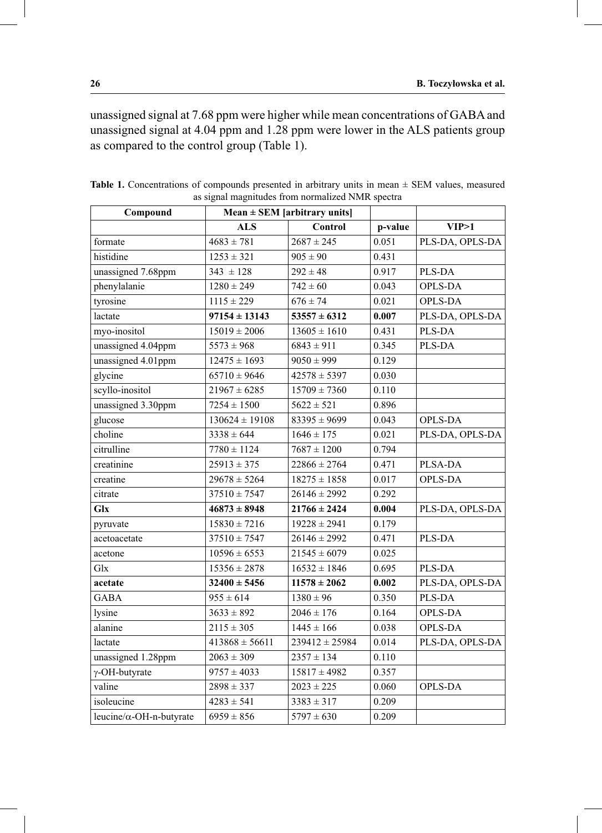unassigned signal at 7.68 ppm were higher while mean concentrations of GABA and unassigned signal at 4.04 ppm and 1.28 ppm were lower in the ALS patients group as compared to the control group (Table 1).

| Compound                         | $Mean \pm SEM$ [arbitrary units] |                    |         |                 |
|----------------------------------|----------------------------------|--------------------|---------|-----------------|
|                                  | <b>ALS</b>                       | <b>Control</b>     | p-value | VIP>1           |
| formate                          | $4683 \pm 781$                   | $2687 \pm 245$     | 0.051   | PLS-DA, OPLS-DA |
| histidine                        | $1253 \pm 321$                   | $905 \pm 90$       | 0.431   |                 |
| unassigned 7.68ppm               | $343 \pm 128$                    | $292 \pm 48$       | 0.917   | PLS-DA          |
| phenylalanie                     | $1280 \pm 249$                   | $742 \pm 60$       | 0.043   | <b>OPLS-DA</b>  |
| tyrosine                         | $1115 \pm 229$                   | $676 \pm 74$       | 0.021   | <b>OPLS-DA</b>  |
| lactate                          | $97154 \pm 13143$                | $53557 \pm 6312$   | 0.007   | PLS-DA, OPLS-DA |
| myo-inositol                     | $15019 \pm 2006$                 | $13605 \pm 1610$   | 0.431   | PLS-DA          |
| unassigned 4.04ppm               | $5573 \pm 968$                   | $6843 \pm 911$     | 0.345   | PLS-DA          |
| unassigned 4.01ppm               | $12475 \pm 1693$                 | $9050 \pm 999$     | 0.129   |                 |
| glycine                          | $65710 \pm 9646$                 | $42578 \pm 5397$   | 0.030   |                 |
| scyllo-inositol                  | $21967 \pm 6285$                 | $15709 \pm 7360$   | 0.110   |                 |
| unassigned 3.30ppm               | $7254 \pm 1500$                  | $5622 \pm 521$     | 0.896   |                 |
| glucose                          | $130624 \pm 19108$               | $83395 \pm 9699$   | 0.043   | <b>OPLS-DA</b>  |
| choline                          | $3338 \pm 644$                   | $1646 \pm 175$     | 0.021   | PLS-DA, OPLS-DA |
| citrulline                       | $7780 \pm 1124$                  | $7687 \pm 1200$    | 0.794   |                 |
| creatinine                       | $25913 \pm 375$                  | $22866 \pm 2764$   | 0.471   | PLSA-DA         |
| creatine                         | $29678 \pm 5264$                 | $18275 \pm 1858$   | 0.017   | OPLS-DA         |
| citrate                          | $37510 \pm 7547$                 | $26146 \pm 2992$   | 0.292   |                 |
| Glx                              | $46873 \pm 8948$                 | $21766 \pm 2424$   | 0.004   | PLS-DA, OPLS-DA |
| pyruvate                         | $15830 \pm 7216$                 | $19228 \pm 2941$   | 0.179   |                 |
| acetoacetate                     | $37510 \pm 7547$                 | $26146 \pm 2992$   | 0.471   | PLS-DA          |
| acetone                          | $10596 \pm 6553$                 | $21545 \pm 6079$   | 0.025   |                 |
| Glx                              | $15356 \pm 2878$                 | $16532 \pm 1846$   | 0.695   | PLS-DA          |
| acetate                          | $32400 \pm 5456$                 | $11578 \pm 2062$   | 0.002   | PLS-DA, OPLS-DA |
| <b>GABA</b>                      | $955 \pm 614$                    | $1380 \pm 96$      | 0.350   | PLS-DA          |
| lysine                           | $3633 \pm 892$                   | $2046 \pm 176$     | 0.164   | <b>OPLS-DA</b>  |
| alanine                          | $2115 \pm 305$                   | $1445 \pm 166$     | 0.038   | <b>OPLS-DA</b>  |
| lactate                          | $413868 \pm 56611$               | $239412 \pm 25984$ | 0.014   | PLS-DA, OPLS-DA |
| unassigned 1.28ppm               | $2063 \pm 309$                   | $2357 \pm 134$     | 0.110   |                 |
| $\gamma$ -OH-butyrate            | $9757 \pm 4033$                  | $15817 \pm 4982$   | 0.357   |                 |
| valine                           | $2898 \pm 337$                   | $2023 \pm 225$     | 0.060   | <b>OPLS-DA</b>  |
| isoleucine                       | $4283 \pm 541$                   | $3383 \pm 317$     | 0.209   |                 |
| leucine/ $\alpha$ -OH-n-butyrate | $6959 \pm 856$                   | $5797 \pm 630$     | 0.209   |                 |

Table 1. Concentrations of compounds presented in arbitrary units in mean  $\pm$  SEM values, measured as signal magnitudes from normalized NMR spectra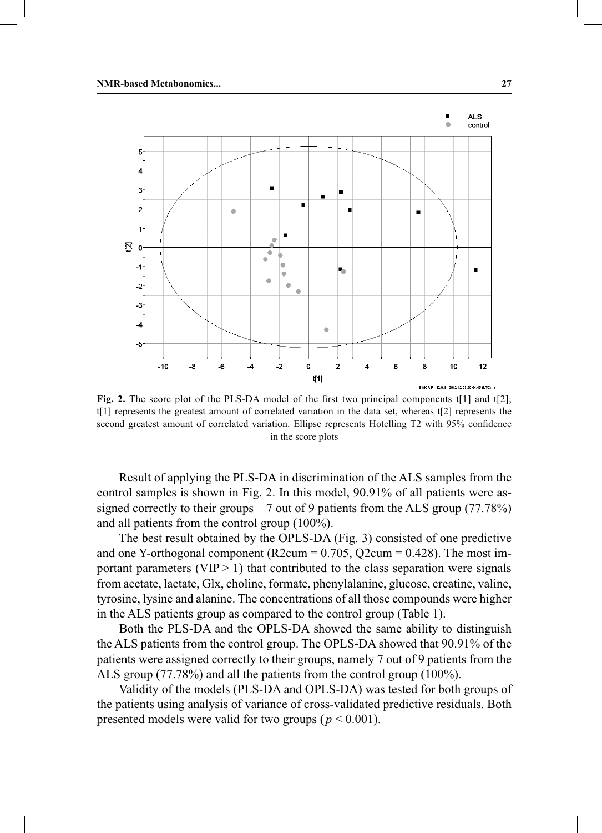

Fig. 2. The score plot of the PLS-DA model of the first two principal components t[1] and t[2]; t[1] represents the greatest amount of correlated variation in the data set, whereas t[2] represents the second greatest amount of correlated variation. Ellipse represents Hotelling T2 with 95% confidence in the score plots

 Result of applying the PLS-DA in discrimination of the ALS samples from the control samples is shown in Fig. 2. In this model, 90.91% of all patients were assigned correctly to their groups  $-7$  out of 9 patients from the ALS group (77.78%) and all patients from the control group (100%).

 The best result obtained by the OPLS-DA (Fig. 3) consisted of one predictive and one Y-orthogonal component (R2cum =  $0.705$ , Q2cum =  $0.428$ ). The most important parameters ( $VIP > 1$ ) that contributed to the class separation were signals from acetate, lactate, Glx, choline, formate, phenylalanine, glucose, creatine, valine, tyrosine, lysine and alanine. The concentrations of all those compounds were higher in the ALS patients group as compared to the control group (Table 1).

 Both the PLS-DA and the OPLS-DA showed the same ability to distinguish the ALS patients from the control group. The OPLS-DA showed that 90.91% of the patients were assigned correctly to their groups, namely 7 out of 9 patients from the ALS group (77.78%) and all the patients from the control group (100%).

 Validity of the models (PLS-DA and OPLS-DA) was tested for both groups of the patients using analysis of variance of cross-validated predictive residuals. Both presented models were valid for two groups ( $p < 0.001$ ).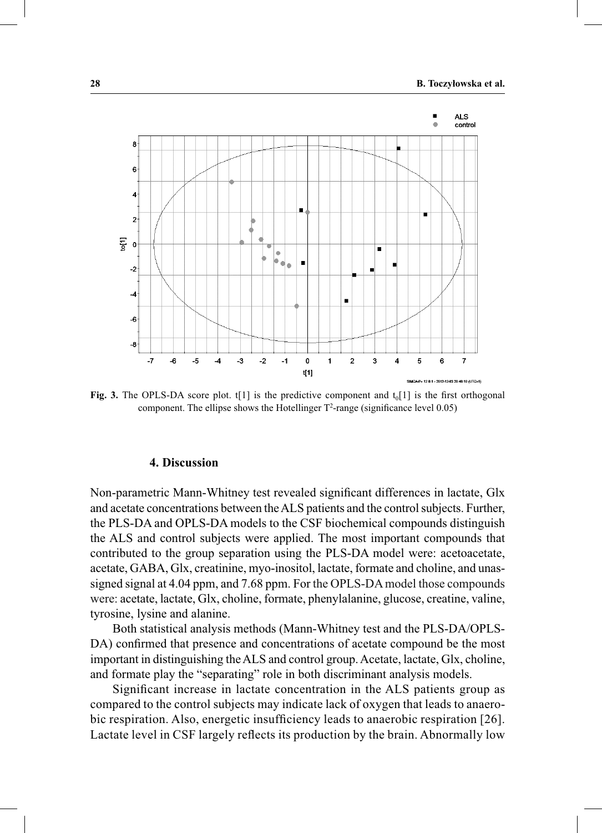

**Fig. 3.** The OPLS-DA score plot.  $t[1]$  is the predictive component and  $t_0[1]$  is the first orthogonal component. The ellipse shows the Hotellinger  $T^2$ -range (significance level 0.05)

# **4. Discussion**

Non-parametric Mann-Whitney test revealed significant differences in lactate, Glx and acetate concentrations between the ALS patients and the control subjects. Further, the PLS-DA and OPLS-DA models to the CSF biochemical compounds distinguish the ALS and control subjects were applied. The most important compounds that contributed to the group separation using the PLS-DA model were: acetoacetate, acetate, GABA, Glx, creatinine, myo-inositol, lactate, formate and choline, and unassigned signal at 4.04 ppm, and 7.68 ppm. For the OPLS-DA model those compounds were: acetate, lactate, Glx, choline, formate, phenylalanine, glucose, creatine, valine, tyrosine, lysine and alanine.

 Both statistical analysis methods (Mann-Whitney test and the PLS-DA/OPLS-DA) confirmed that presence and concentrations of acetate compound be the most important in distinguishing the ALS and control group. Acetate, lactate, Glx, choline, and formate play the "separating" role in both discriminant analysis models.

 Significant increase in lactate concentration in the ALS patients group as compared to the control subjects may indicate lack of oxygen that leads to anaerobic respiration. Also, energetic insufficiency leads to anaerobic respiration [26]. Lactate level in CSF largely reflects its production by the brain. Abnormally low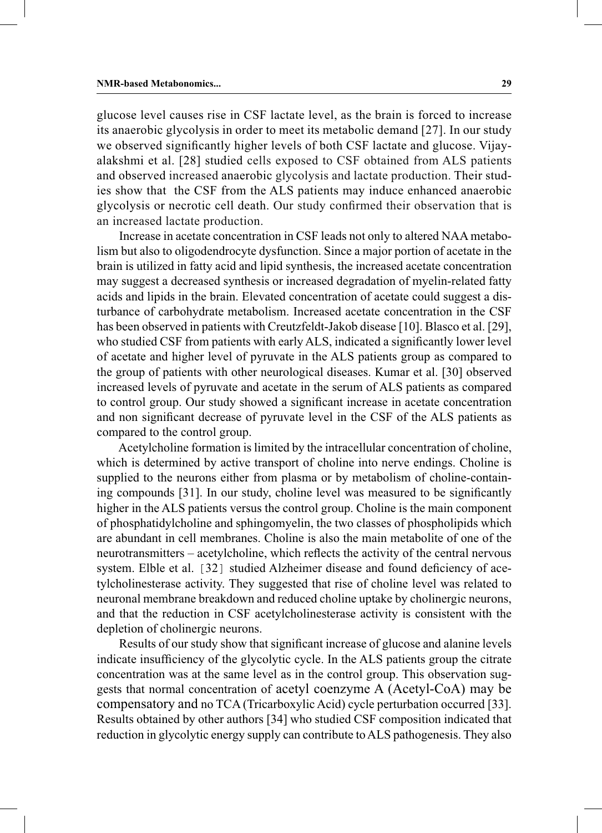glucose level causes rise in CSF lactate level, as the brain is forced to increase its anaerobic glycolysis in order to meet its metabolic demand [27]. In our study we observed significantly higher levels of both CSF lactate and glucose. Vijayalakshmi et al. [28] studied cells exposed to CSF obtained from ALS patients and observed increased anaerobic glycolysis and lactate production. Their studies show that the CSF from the ALS patients may induce enhanced anaerobic glycolysis or necrotic cell death. Our study confirmed their observation that is an increased lactate production.

 Increase in acetate concentration in CSF leads not only to altered NAA metabolism but also to oligodendrocyte dysfunction. Since a major portion of acetate in the brain is utilized in fatty acid and lipid synthesis, the increased acetate concentration may suggest a decreased synthesis or increased degradation of myelin-related fatty acids and lipids in the brain. Elevated concentration of acetate could suggest a disturbance of carbohydrate metabolism. Increased acetate concentration in the CSF has been observed in patients with Creutzfeldt-Jakob disease [10]. Blasco et al. [29], who studied CSF from patients with early ALS, indicated a significantly lower level of acetate and higher level of pyruvate in the ALS patients group as compared to the group of patients with other neurological diseases. Kumar et al. [30] observed increased levels of pyruvate and acetate in the serum of ALS patients as compared to control group. Our study showed a significant increase in acetate concentration and non significant decrease of pyruvate level in the CSF of the ALS patients as compared to the control group.

 Acetylcholine formation is limited by the intracellular concentration of choline, which is determined by active transport of choline into nerve endings. Choline is supplied to the neurons either from plasma or by metabolism of choline-containing compounds [31]. In our study, choline level was measured to be significantly higher in the ALS patients versus the control group. Choline is the main component of phosphatidylcholine and sphingomyelin, the two classes of phospholipids which are abundant in cell membranes. Choline is also the main metabolite of one of the neurotransmitters – acetylcholine, which reflects the activity of the central nervous system. Elble et al. [32] studied Alzheimer disease and found deficiency of acetylcholinesterase activity. They suggested that rise of choline level was related to neuronal membrane breakdown and reduced choline uptake by cholinergic neurons, and that the reduction in CSF acetylcholinesterase activity is consistent with the depletion of cholinergic neurons.

 Results of our study show that significant increase of glucose and alanine levels indicate insufficiency of the glycolytic cycle. In the ALS patients group the citrate concentration was at the same level as in the control group. This observation suggests that normal concentration of acetyl coenzyme A (Acetyl-CoA) may be compensatory and no TCA (Tricarboxylic Acid) cycle perturbation occurred [33]. Results obtained by other authors [34] who studied CSF composition indicated that reduction in glycolytic energy supply can contribute to ALS pathogenesis. They also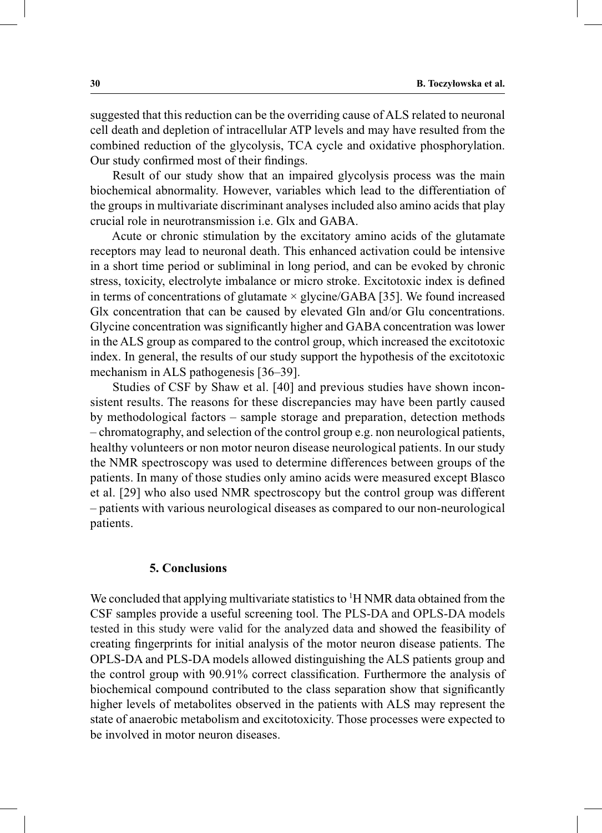suggested that this reduction can be the overriding cause of ALS related to neuronal cell death and depletion of intracellular ATP levels and may have resulted from the combined reduction of the glycolysis, TCA cycle and oxidative phosphorylation. Our study confirmed most of their findings.

 Result of our study show that an impaired glycolysis process was the main biochemical abnormality. However, variables which lead to the differentiation of the groups in multivariate discriminant analyses included also amino acids that play crucial role in neurotransmission i.e. Glx and GABA.

 Acute or chronic stimulation by the excitatory amino acids of the glutamate receptors may lead to neuronal death. This enhanced activation could be intensive in a short time period or subliminal in long period, and can be evoked by chronic stress, toxicity, electrolyte imbalance or micro stroke. Excitotoxic index is defined in terms of concentrations of glutamate  $\times$  glycine/GABA [35]. We found increased Glx concentration that can be caused by elevated Gln and/or Glu concentrations. Glycine concentration was significantly higher and GABA concentration was lower in the ALS group as compared to the control group, which increased the excitotoxic index. In general, the results of our study support the hypothesis of the excitotoxic mechanism in ALS pathogenesis [36–39].

 Studies of CSF by Shaw et al. [40] and previous studies have shown inconsistent results. The reasons for these discrepancies may have been partly caused by methodological factors – sample storage and preparation, detection methods – chromatography, and selection of the control group e.g. non neurological patients, healthy volunteers or non motor neuron disease neurological patients. In our study the NMR spectroscopy was used to determine differences between groups of the patients. In many of those studies only amino acids were measured except Blasco et al. [29] who also used NMR spectroscopy but the control group was different – patients with various neurological diseases as compared to our non-neurological patients.

## **5. Conclusions**

We concluded that applying multivariate statistics to <sup>1</sup>H NMR data obtained from the CSF samples provide a useful screening tool. The PLS-DA and OPLS-DA models tested in this study were valid for the analyzed data and showed the feasibility of creating fingerprints for initial analysis of the motor neuron disease patients. The OPLS-DA and PLS-DA models allowed distinguishing the ALS patients group and the control group with 90.91% correct classification. Furthermore the analysis of biochemical compound contributed to the class separation show that significantly higher levels of metabolites observed in the patients with ALS may represent the state of anaerobic metabolism and excitotoxicity. Those processes were expected to be involved in motor neuron diseases.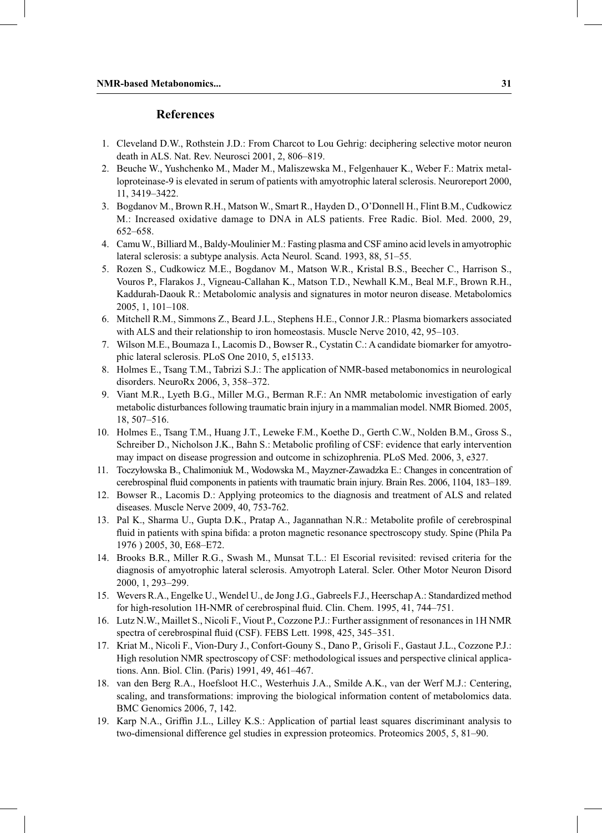## **References**

- 1. Cleveland D.W., Rothstein J.D.: From Charcot to Lou Gehrig: deciphering selective motor neuron death in ALS. Nat. Rev. Neurosci 2001, 2, 806–819.
- 2. Beuche W., Yushchenko M., Mader M., Maliszewska M., Felgenhauer K., Weber F.: Matrix metalloproteinase-9 is elevated in serum of patients with amyotrophic lateral sclerosis. Neuroreport 2000, 11, 3419–3422.
- 3. Bogdanov M., Brown R.H., Matson W., Smart R., Hayden D., O'Donnell H., Flint B.M., Cudkowicz M.: Increased oxidative damage to DNA in ALS patients. Free Radic. Biol. Med. 2000, 29, 652–658.
- 4. Camu W., Billiard M., Baldy-Moulinier M.: Fasting plasma and CSF amino acid levels in amyotrophic lateral sclerosis: a subtype analysis. Acta Neurol. Scand. 1993, 88, 51–55.
- 5. Rozen S., Cudkowicz M.E., Bogdanov M., Matson W.R., Kristal B.S., Beecher C., Harrison S., Vouros P., Flarakos J., Vigneau-Callahan K., Matson T.D., Newhall K.M., Beal M.F., Brown R.H., Kaddurah-Daouk R.: Metabolomic analysis and signatures in motor neuron disease. Metabolomics 2005, 1, 101–108.
- 6. Mitchell R.M., Simmons Z., Beard J.L., Stephens H.E., Connor J.R.: Plasma biomarkers associated with ALS and their relationship to iron homeostasis. Muscle Nerve 2010, 42, 95–103.
- 7. Wilson M.E., Boumaza I., Lacomis D., Bowser R., Cystatin C.: A candidate biomarker for amyotrophic lateral sclerosis. PLoS One 2010, 5, e15133.
- 8. Holmes E., Tsang T.M., Tabrizi S.J.: The application of NMR-based metabonomics in neurological disorders. NeuroRx 2006, 3, 358–372.
- 9. Viant M.R., Lyeth B.G., Miller M.G., Berman R.F.: An NMR metabolomic investigation of early metabolic disturbances following traumatic brain injury in a mammalian model. NMR Biomed. 2005, 18, 507–516.
- 10. Holmes E., Tsang T.M., Huang J.T., Leweke F.M., Koethe D., Gerth C.W., Nolden B.M., Gross S., Schreiber D., Nicholson J.K., Bahn S.: Metabolic profiling of CSF: evidence that early intervention may impact on disease progression and outcome in schizophrenia. PLoS Med. 2006, 3, e327.
- 11. Toczyłowska B., Chalimoniuk M., Wodowska M., Mayzner-Zawadzka E.: Changes in concentration of cerebrospinal fluid components in patients with traumatic brain injury. Brain Res. 2006, 1104, 183–189.
- 12. Bowser R., Lacomis D.: Applying proteomics to the diagnosis and treatment of ALS and related diseases. Muscle Nerve 2009, 40, 753-762.
- 13. Pal K., Sharma U., Gupta D.K., Pratap A., Jagannathan N.R.: Metabolite profile of cerebrospinal fluid in patients with spina bifida: a proton magnetic resonance spectroscopy study. Spine (Phila Pa 1976 ) 2005, 30, E68–E72.
- 14. Brooks B.R., Miller R.G., Swash M., Munsat T.L.: El Escorial revisited: revised criteria for the diagnosis of amyotrophic lateral sclerosis. Amyotroph Lateral. Scler. Other Motor Neuron Disord 2000, 1, 293–299.
- 15. Wevers R.A., Engelke U., Wendel U., de Jong J.G., Gabreels F.J., Heerschap A.: Standardized method for high-resolution 1H-NMR of cerebrospinal fluid. Clin. Chem. 1995, 41, 744–751.
- 16. Lutz N.W., Maillet S., Nicoli F., Viout P., Cozzone P.J.: Further assignment of resonances in 1H NMR spectra of cerebrospinal fluid (CSF). FEBS Lett. 1998, 425, 345–351.
- 17. Kriat M., Nicoli F., Vion-Dury J., Confort-Gouny S., Dano P., Grisoli F., Gastaut J.L., Cozzone P.J.: High resolution NMR spectroscopy of CSF: methodological issues and perspective clinical applications. Ann. Biol. Clin. (Paris) 1991, 49, 461–467.
- 18. van den Berg R.A., Hoefsloot H.C., Westerhuis J.A., Smilde A.K., van der Werf M.J.: Centering, scaling, and transformations: improving the biological information content of metabolomics data. BMC Genomics 2006, 7, 142.
- 19. Karp N.A., Griffin J.L., Lilley K.S.: Application of partial least squares discriminant analysis to two-dimensional difference gel studies in expression proteomics. Proteomics 2005, 5, 81–90.